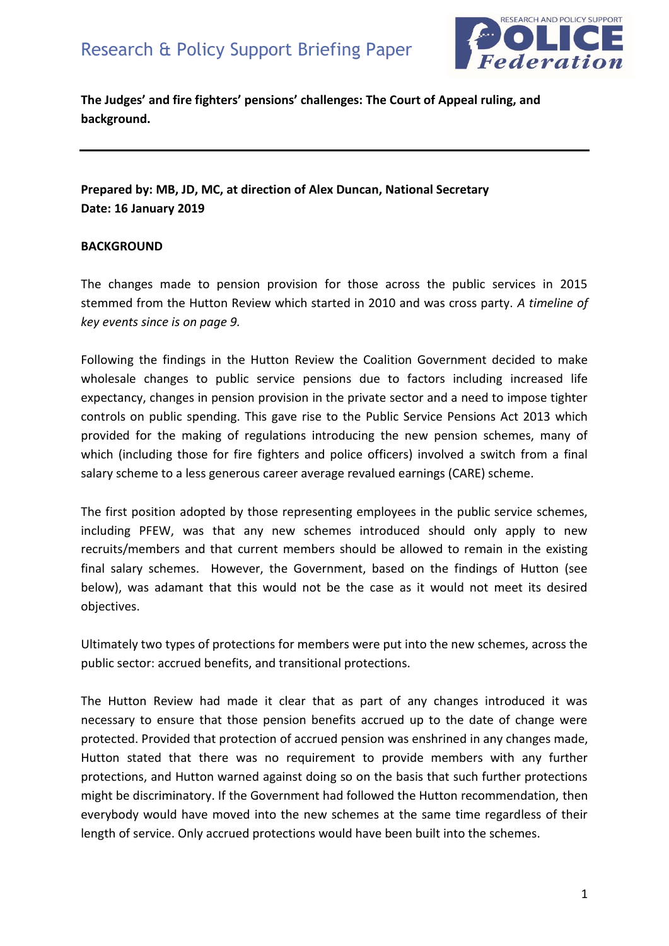

**The Judges' and fire fighters' pensions' challenges: The Court of Appeal ruling, and background.** 

## **Prepared by: MB, JD, MC, at direction of Alex Duncan, National Secretary Date: 16 January 2019**

## **BACKGROUND**

The changes made to pension provision for those across the public services in 2015 stemmed from the Hutton Review which started in 2010 and was cross party. *A timeline of key events since is on page 9.* 

Following the findings in the Hutton Review the Coalition Government decided to make wholesale changes to public service pensions due to factors including increased life expectancy, changes in pension provision in the private sector and a need to impose tighter controls on public spending. This gave rise to the Public Service Pensions Act 2013 which provided for the making of regulations introducing the new pension schemes, many of which (including those for fire fighters and police officers) involved a switch from a final salary scheme to a less generous career average revalued earnings (CARE) scheme.

The first position adopted by those representing employees in the public service schemes, including PFEW, was that any new schemes introduced should only apply to new recruits/members and that current members should be allowed to remain in the existing final salary schemes. However, the Government, based on the findings of Hutton (see below), was adamant that this would not be the case as it would not meet its desired objectives.

Ultimately two types of protections for members were put into the new schemes, across the public sector: accrued benefits, and transitional protections.

The Hutton Review had made it clear that as part of any changes introduced it was necessary to ensure that those pension benefits accrued up to the date of change were protected. Provided that protection of accrued pension was enshrined in any changes made, Hutton stated that there was no requirement to provide members with any further protections, and Hutton warned against doing so on the basis that such further protections might be discriminatory. If the Government had followed the Hutton recommendation, then everybody would have moved into the new schemes at the same time regardless of their length of service. Only accrued protections would have been built into the schemes.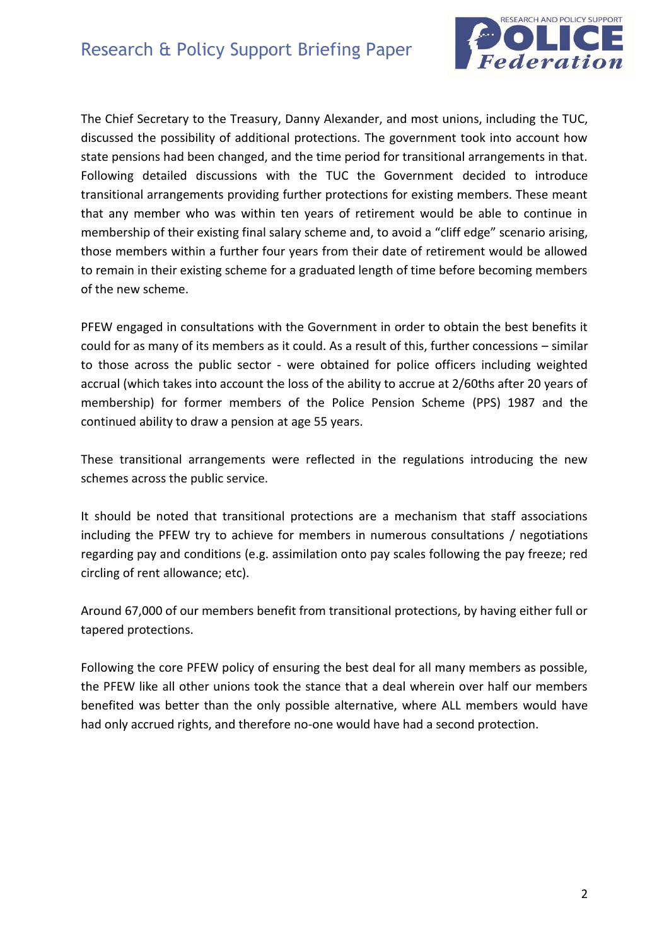

The Chief Secretary to the Treasury, Danny Alexander, and most unions, including the TUC, discussed the possibility of additional protections. The government took into account how state pensions had been changed, and the time period for transitional arrangements in that. Following detailed discussions with the TUC the Government decided to introduce transitional arrangements providing further protections for existing members. These meant that any member who was within ten years of retirement would be able to continue in membership of their existing final salary scheme and, to avoid a "cliff edge" scenario arising, those members within a further four years from their date of retirement would be allowed to remain in their existing scheme for a graduated length of time before becoming members of the new scheme.

PFEW engaged in consultations with the Government in order to obtain the best benefits it could for as many of its members as it could. As a result of this, further concessions – similar to those across the public sector - were obtained for police officers including weighted accrual (which takes into account the loss of the ability to accrue at 2/60ths after 20 years of membership) for former members of the Police Pension Scheme (PPS) 1987 and the continued ability to draw a pension at age 55 years.

These transitional arrangements were reflected in the regulations introducing the new schemes across the public service.

It should be noted that transitional protections are a mechanism that staff associations including the PFEW try to achieve for members in numerous consultations / negotiations regarding pay and conditions (e.g. assimilation onto pay scales following the pay freeze; red circling of rent allowance; etc).

Around 67,000 of our members benefit from transitional protections, by having either full or tapered protections.

Following the core PFEW policy of ensuring the best deal for all many members as possible, the PFEW like all other unions took the stance that a deal wherein over half our members benefited was better than the only possible alternative, where ALL members would have had only accrued rights, and therefore no-one would have had a second protection.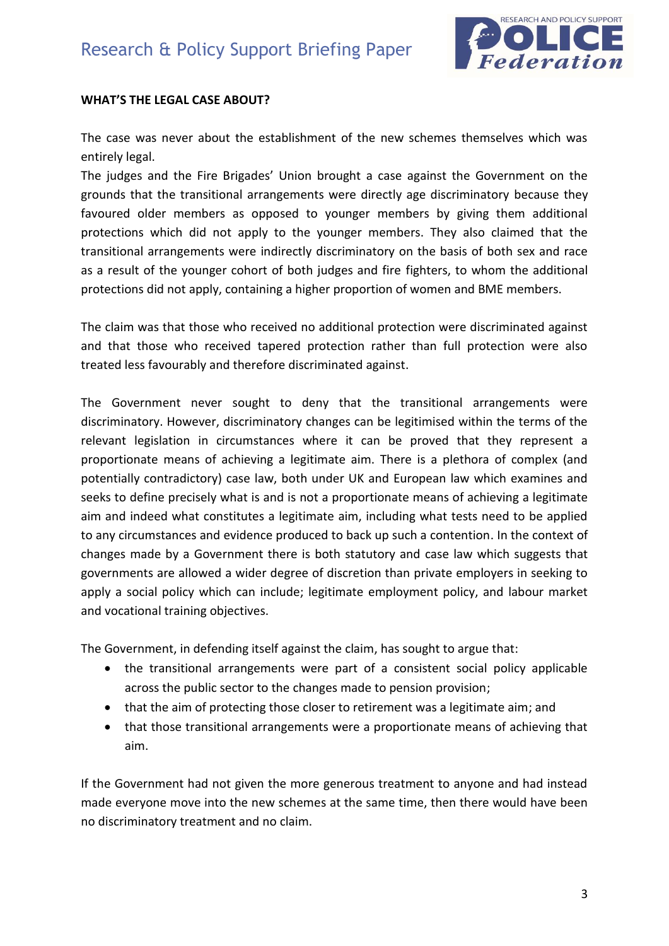

## **WHAT'S THE LEGAL CASE ABOUT?**

The case was never about the establishment of the new schemes themselves which was entirely legal.

The judges and the Fire Brigades' Union brought a case against the Government on the grounds that the transitional arrangements were directly age discriminatory because they favoured older members as opposed to younger members by giving them additional protections which did not apply to the younger members. They also claimed that the transitional arrangements were indirectly discriminatory on the basis of both sex and race as a result of the younger cohort of both judges and fire fighters, to whom the additional protections did not apply, containing a higher proportion of women and BME members.

The claim was that those who received no additional protection were discriminated against and that those who received tapered protection rather than full protection were also treated less favourably and therefore discriminated against.

The Government never sought to deny that the transitional arrangements were discriminatory. However, discriminatory changes can be legitimised within the terms of the relevant legislation in circumstances where it can be proved that they represent a proportionate means of achieving a legitimate aim. There is a plethora of complex (and potentially contradictory) case law, both under UK and European law which examines and seeks to define precisely what is and is not a proportionate means of achieving a legitimate aim and indeed what constitutes a legitimate aim, including what tests need to be applied to any circumstances and evidence produced to back up such a contention. In the context of changes made by a Government there is both statutory and case law which suggests that governments are allowed a wider degree of discretion than private employers in seeking to apply a social policy which can include; legitimate employment policy, and labour market and vocational training objectives.

The Government, in defending itself against the claim, has sought to argue that:

- the transitional arrangements were part of a consistent social policy applicable across the public sector to the changes made to pension provision;
- that the aim of protecting those closer to retirement was a legitimate aim; and
- that those transitional arrangements were a proportionate means of achieving that aim.

If the Government had not given the more generous treatment to anyone and had instead made everyone move into the new schemes at the same time, then there would have been no discriminatory treatment and no claim.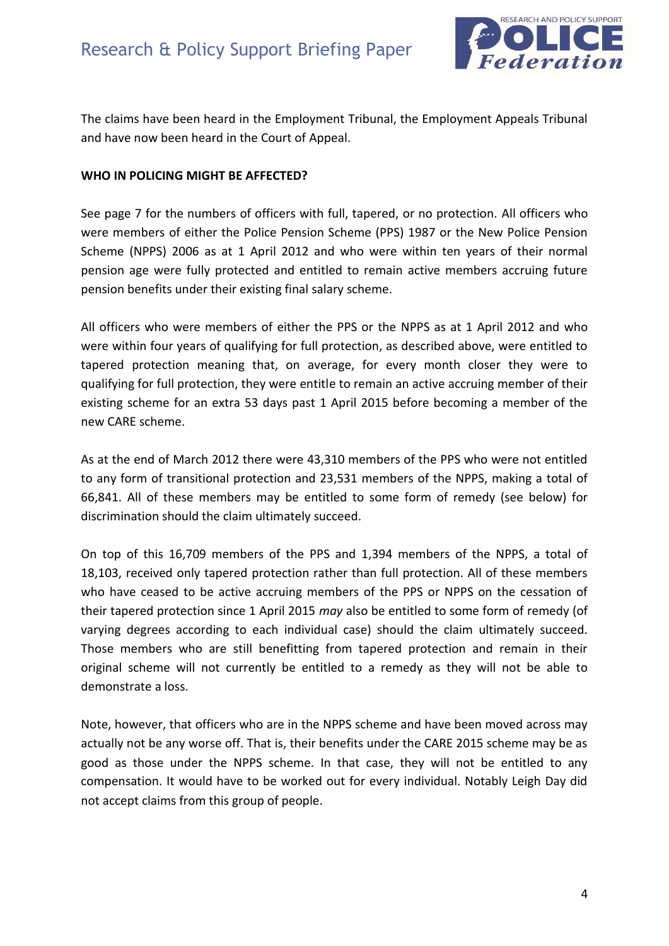

The claims have been heard in the Employment Tribunal, the Employment Appeals Tribunal and have now been heard in the Court of Appeal.

#### **WHO IN POLICING MIGHT BE AFFECTED?**

See page 7 for the numbers of officers with full, tapered, or no protection. All officers who were members of either the Police Pension Scheme (PPS) 1987 or the New Police Pension Scheme (NPPS) 2006 as at 1 April 2012 and who were within ten years of their normal pension age were fully protected and entitled to remain active members accruing future pension benefits under their existing final salary scheme.

All officers who were members of either the PPS or the NPPS as at 1 April 2012 and who were within four years of qualifying for full protection, as described above, were entitled to tapered protection meaning that, on average, for every month closer they were to qualifying for full protection, they were entitle to remain an active accruing member of their existing scheme for an extra 53 days past 1 April 2015 before becoming a member of the new CARE scheme.

As at the end of March 2012 there were 43,310 members of the PPS who were not entitled to any form of transitional protection and 23,531 members of the NPPS, making a total of 66,841. All of these members may be entitled to some form of remedy (see below) for discrimination should the claim ultimately succeed.

On top of this 16,709 members of the PPS and 1,394 members of the NPPS, a total of 18,103, received only tapered protection rather than full protection. All of these members who have ceased to be active accruing members of the PPS or NPPS on the cessation of their tapered protection since 1 April 2015 *may* also be entitled to some form of remedy (of varying degrees according to each individual case) should the claim ultimately succeed. Those members who are still benefitting from tapered protection and remain in their original scheme will not currently be entitled to a remedy as they will not be able to demonstrate a loss.

Note, however, that officers who are in the NPPS scheme and have been moved across may actually not be any worse off. That is, their benefits under the CARE 2015 scheme may be as good as those under the NPPS scheme. In that case, they will not be entitled to any compensation. It would have to be worked out for every individual. Notably Leigh Day did not accept claims from this group of people.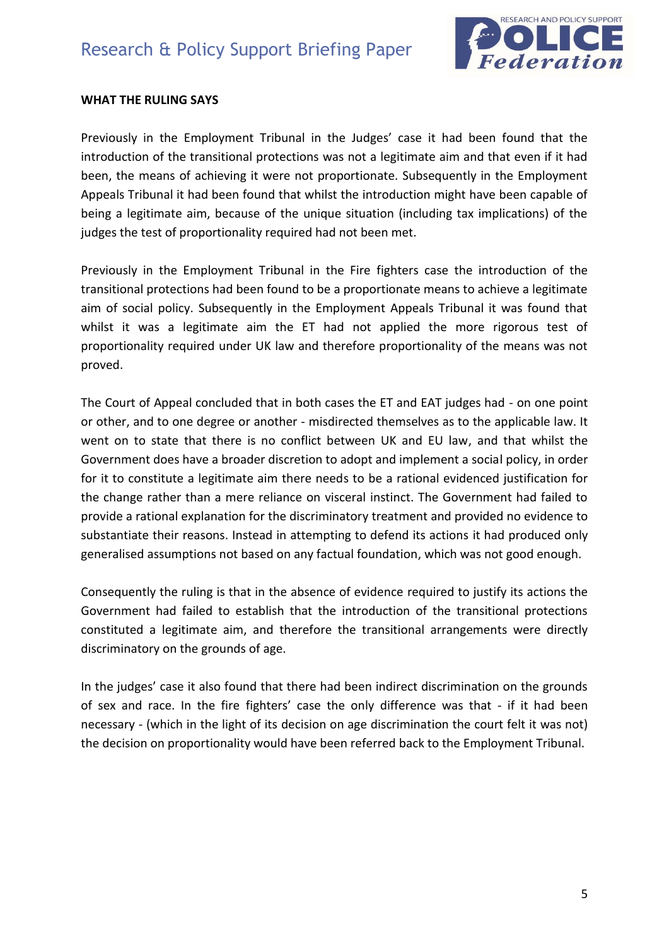

#### **WHAT THE RULING SAYS**

Previously in the Employment Tribunal in the Judges' case it had been found that the introduction of the transitional protections was not a legitimate aim and that even if it had been, the means of achieving it were not proportionate. Subsequently in the Employment Appeals Tribunal it had been found that whilst the introduction might have been capable of being a legitimate aim, because of the unique situation (including tax implications) of the judges the test of proportionality required had not been met.

Previously in the Employment Tribunal in the Fire fighters case the introduction of the transitional protections had been found to be a proportionate means to achieve a legitimate aim of social policy. Subsequently in the Employment Appeals Tribunal it was found that whilst it was a legitimate aim the ET had not applied the more rigorous test of proportionality required under UK law and therefore proportionality of the means was not proved.

The Court of Appeal concluded that in both cases the ET and EAT judges had - on one point or other, and to one degree or another - misdirected themselves as to the applicable law. It went on to state that there is no conflict between UK and EU law, and that whilst the Government does have a broader discretion to adopt and implement a social policy, in order for it to constitute a legitimate aim there needs to be a rational evidenced justification for the change rather than a mere reliance on visceral instinct. The Government had failed to provide a rational explanation for the discriminatory treatment and provided no evidence to substantiate their reasons. Instead in attempting to defend its actions it had produced only generalised assumptions not based on any factual foundation, which was not good enough.

Consequently the ruling is that in the absence of evidence required to justify its actions the Government had failed to establish that the introduction of the transitional protections constituted a legitimate aim, and therefore the transitional arrangements were directly discriminatory on the grounds of age.

In the judges' case it also found that there had been indirect discrimination on the grounds of sex and race. In the fire fighters' case the only difference was that - if it had been necessary - (which in the light of its decision on age discrimination the court felt it was not) the decision on proportionality would have been referred back to the Employment Tribunal.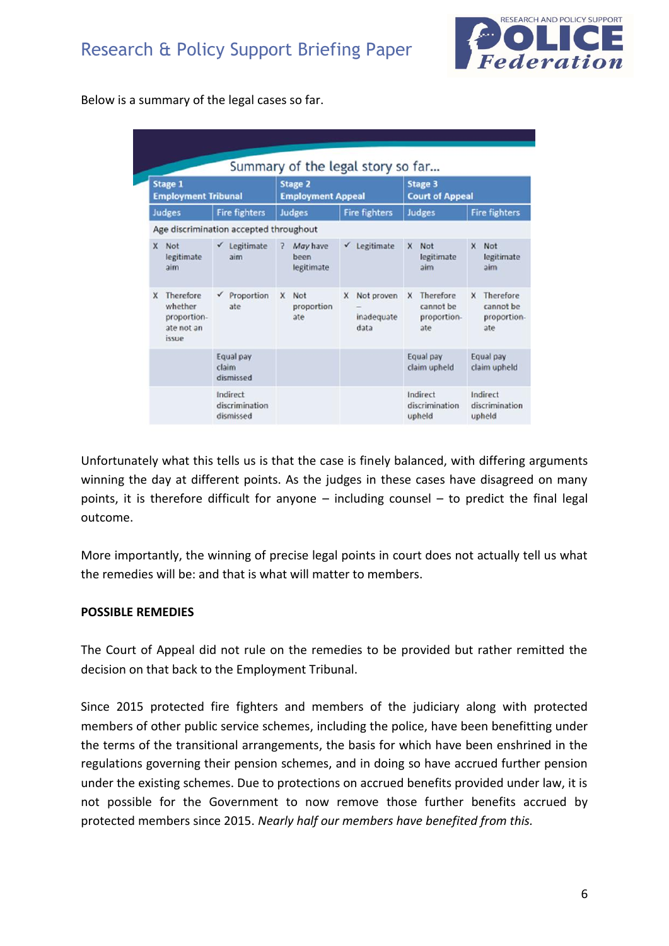

Below is a summary of the legal cases so far.

| <b>Stage 1</b><br><b>Employment Tribunal</b>                           |                                         | <b>Stage 2</b><br><b>Employment Appeal</b> |                                       | <b>Stage 3</b><br><b>Court of Appeal</b>          |                                                          |
|------------------------------------------------------------------------|-----------------------------------------|--------------------------------------------|---------------------------------------|---------------------------------------------------|----------------------------------------------------------|
| Judges                                                                 | <b>Fire fighters</b>                    | Judges                                     | <b>Fire fighters</b>                  | Judges                                            | <b>Fire fighters</b>                                     |
|                                                                        | Age discrimination accepted throughout  |                                            |                                       |                                                   |                                                          |
| Not<br>x<br>legitimate<br>aim                                          | $\checkmark$ Legitimate<br>aim          | May have<br>2<br>been<br>legitimate        | Legitimate<br>$\checkmark$            | Not<br>X<br>legitimate<br>aim                     | x<br><b>Not</b><br>legitimate<br>aim                     |
| Therefore<br>X<br>whether<br>proportion-<br>ate not an<br><i>issue</i> | Proportion<br>$\checkmark$<br>ate       | Not<br>X<br>proportion<br>ate              | Not proven<br>x<br>inadequate<br>data | Therefore<br>x<br>cannot be<br>proportion-<br>ate | <b>Therefore</b><br>x<br>cannot be<br>proportion-<br>ate |
|                                                                        | Equal pay<br>claim<br>dismissed         |                                            |                                       | Equal pay<br>claim upheld                         | Equal pay<br>claim upheld                                |
|                                                                        | Indirect<br>discrimination<br>dismissed |                                            |                                       | Indirect<br>discrimination<br>upheld              | Indirect<br>discrimination<br>upheld                     |

Unfortunately what this tells us is that the case is finely balanced, with differing arguments winning the day at different points. As the judges in these cases have disagreed on many points, it is therefore difficult for anyone – including counsel – to predict the final legal outcome.

More importantly, the winning of precise legal points in court does not actually tell us what the remedies will be: and that is what will matter to members.

## **POSSIBLE REMEDIES**

The Court of Appeal did not rule on the remedies to be provided but rather remitted the decision on that back to the Employment Tribunal.

Since 2015 protected fire fighters and members of the judiciary along with protected members of other public service schemes, including the police, have been benefitting under the terms of the transitional arrangements, the basis for which have been enshrined in the regulations governing their pension schemes, and in doing so have accrued further pension under the existing schemes. Due to protections on accrued benefits provided under law, it is not possible for the Government to now remove those further benefits accrued by protected members since 2015. *Nearly half our members have benefited from this.*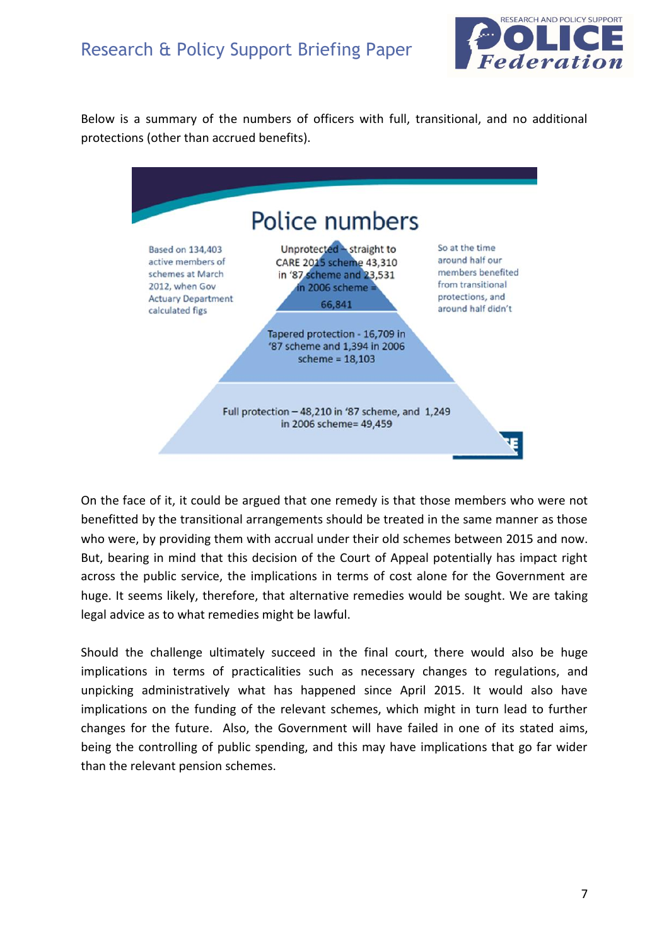## Research & Policy Support Briefing Paper



Below is a summary of the numbers of officers with full, transitional, and no additional protections (other than accrued benefits).



On the face of it, it could be argued that one remedy is that those members who were not benefitted by the transitional arrangements should be treated in the same manner as those who were, by providing them with accrual under their old schemes between 2015 and now. But, bearing in mind that this decision of the Court of Appeal potentially has impact right across the public service, the implications in terms of cost alone for the Government are huge. It seems likely, therefore, that alternative remedies would be sought. We are taking legal advice as to what remedies might be lawful.

Should the challenge ultimately succeed in the final court, there would also be huge implications in terms of practicalities such as necessary changes to regulations, and unpicking administratively what has happened since April 2015. It would also have implications on the funding of the relevant schemes, which might in turn lead to further changes for the future. Also, the Government will have failed in one of its stated aims, being the controlling of public spending, and this may have implications that go far wider than the relevant pension schemes.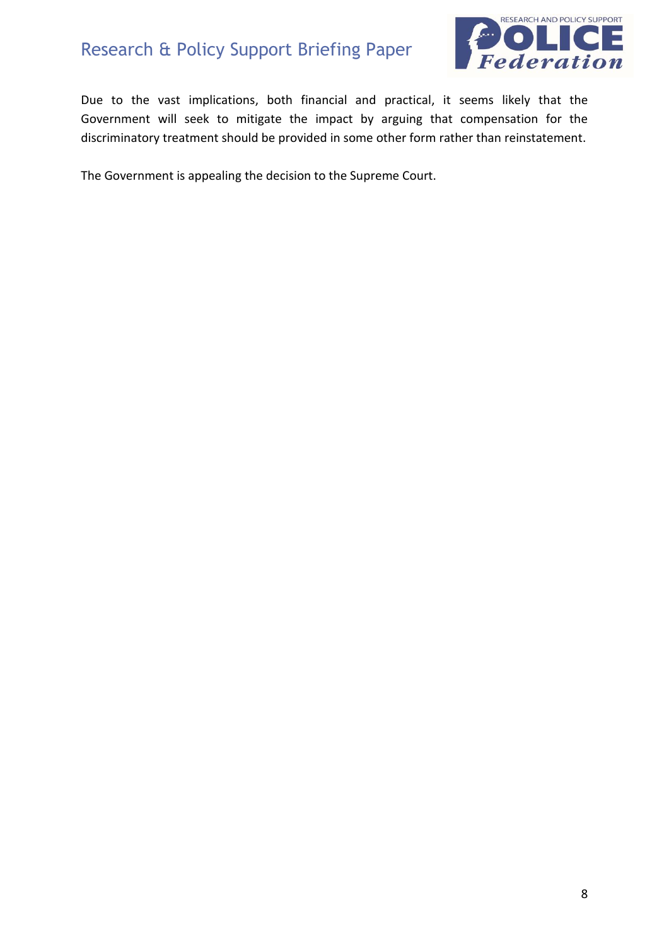# Research & Policy Support Briefing Paper



Due to the vast implications, both financial and practical, it seems likely that the Government will seek to mitigate the impact by arguing that compensation for the discriminatory treatment should be provided in some other form rather than reinstatement.

The Government is appealing the decision to the Supreme Court.